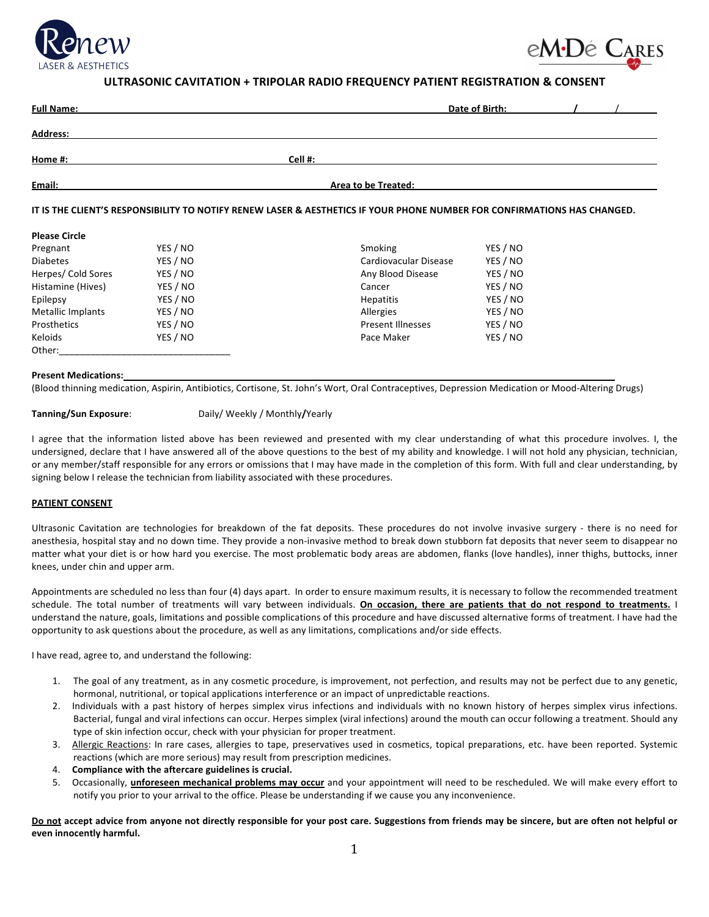



# ULTRASONIC CAVITATION + TRIPOLAR RADIO FREQUENCY PATIENT REGISTRATION & CONSENT

| <b>Full Name:</b> | Date of Birth:      |
|-------------------|---------------------|
| Address:          |                     |
| Home #:           | Cell #:             |
| Email:            | Area to be Treated: |

## IT IS THE CLIENT'S RESPONSIBILITY TO NOTIFY RENEW LASER & AESTHETICS IF YOUR PHONE NUMBER FOR CONFIRMATIONS HAS CHANGED.

# **Please Circle**

| Pregnant                 | YES / NO | Smoking                  | YES / NO |
|--------------------------|----------|--------------------------|----------|
| <b>Diabetes</b>          | YES / NO | Cardiovacular Disease    | YES / NO |
| Herpes/ Cold Sores       | YES / NO | Any Blood Disease        | YES / NO |
| Histamine (Hives)        | YES / NO | Cancer                   | YES / NO |
| Epilepsy                 | YES / NO | <b>Hepatitis</b>         | YES / NO |
| <b>Metallic Implants</b> | YES / NO | Allergies                | YES / NO |
| Prosthetics              | YES / NO | <b>Present Illnesses</b> | YES / NO |
| Keloids                  | YES / NO | Pace Maker               | YES / NO |
| Other:                   |          |                          |          |

#### **Present+Medications:**

(Blood thinning medication, Aspirin, Antibiotics, Cortisone, St. John's Wort, Oral Contraceptives, Depression Medication or Mood-Altering Drugs)

#### **Tanning/Sun Exposure:** Daily/ Weekly / Monthly/Yearly

I agree that the information listed above has been reviewed and presented with my clear understanding of what this procedure involves. I, the undersigned, declare that I have answered all of the above questions to the best of my ability and knowledge. I will not hold any physician, technician, or any member/staff responsible for any errors or omissions that I may have made in the completion of this form. With full and clear understanding, by signing below I release the technician from liability associated with these procedures.

#### **PATIENT CONSENT**

Ultrasonic Cavitation are technologies for breakdown of the fat deposits. These procedures do not involve invasive surgery - there is no need for anesthesia, hospital stay and no down time. They provide a non-invasive method to break down stubborn fat deposits that never seem to disappear no matter what your diet is or how hard you exercise. The most problematic body areas are abdomen, flanks (love handles), inner thighs, buttocks, inner knees, under chin and upper arm.

Appointments are scheduled no less than four (4) days apart. In order to ensure maximum results, it is necessary to follow the recommended treatment schedule. The total number of treatments will vary between individuals. **On occasion, there are patients that do not respond to treatments.** I understand the nature, goals, limitations and possible complications of this procedure and have discussed alternative forms of treatment. I have had the opportunity to ask questions about the procedure, as well as any limitations, complications and/or side effects.

I have read, agree to, and understand the following:

- 1. The goal of any treatment, as in any cosmetic procedure, is improvement, not perfection, and results may not be perfect due to any genetic, hormonal, nutritional, or topical applications interference or an impact of unpredictable reactions.
- 2. Individuals with a past history of herpes simplex virus infections and individuals with no known history of herpes simplex virus infections. Bacterial, fungal and viral infections can occur. Herpes simplex (viral infections) around the mouth can occur following a treatment. Should any type of skin infection occur, check with your physician for proper treatment.
- 3. Allergic Reactions: In rare cases, allergies to tape, preservatives used in cosmetics, topical preparations, etc. have been reported. Systemic reactions (which are more serious) may result from prescription medicines.
- 4. **Compliance with the aftercare guidelines is crucial.**
- 5. Occasionally, *unforeseen mechanical problems may occur* and your appointment will need to be rescheduled. We will make every effort to notify you prior to your arrival to the office. Please be understanding if we cause you any inconvenience.

Do not accept advice from anyone not directly responsible for your post care. Suggestions from friends may be sincere, but are often not helpful or even innocently harmful.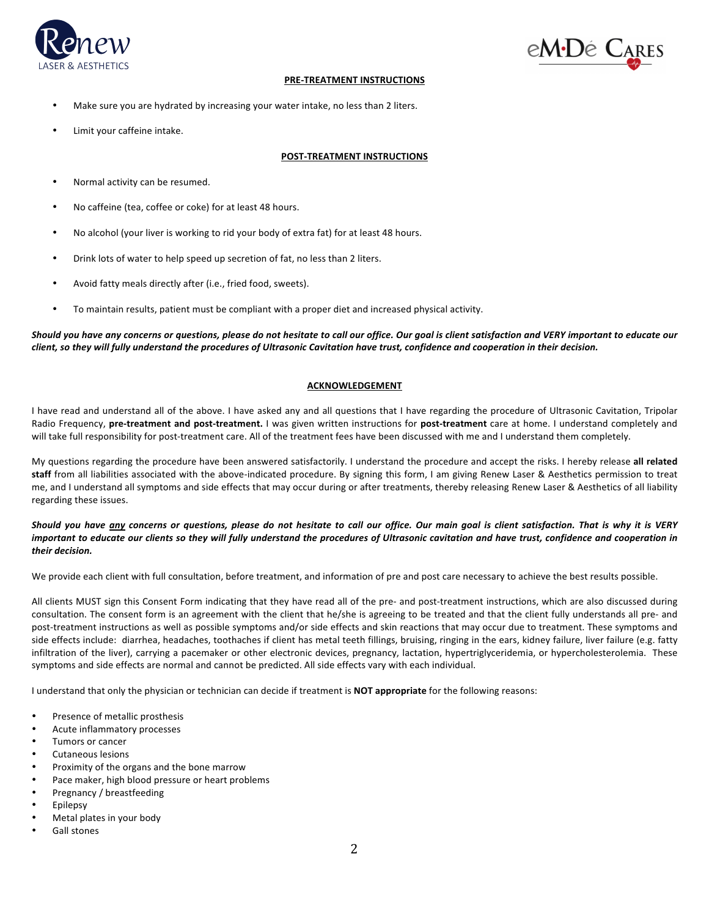



# **PRE-TREATMENT INSTRUCTIONS**

- Make sure you are hydrated by increasing your water intake, no less than 2 liters.
- Limit your caffeine intake.

## **POST-TREATMENT INSTRUCTIONS**

- Normal activity can be resumed.
- No caffeine (tea, coffee or coke) for at least 48 hours.
- No alcohol (your liver is working to rid your body of extra fat) for at least 48 hours.
- Drink lots of water to help speed up secretion of fat, no less than 2 liters.
- Avoid fatty meals directly after (i.e., fried food, sweets).
- To maintain results, patient must be compliant with a proper diet and increased physical activity.

Should you have any concerns or questions, please do not hesitate to call our office. Our goal is client satisfaction and VERY important to educate our *client,'so'they'will'fully'understand'the'procedures'of Ultrasonic'Cavitation'have'trust,'confidence'and'cooperation'in'their'decision.'*

# **ACKNOWLEDGEMENT**

I have read and understand all of the above. I have asked any and all questions that I have regarding the procedure of Ultrasonic Cavitation, Tripolar Radio Frequency, pre-treatment and post-treatment. I was given written instructions for post-treatment care at home. I understand completely and will take full responsibility for post-treatment care. All of the treatment fees have been discussed with me and I understand them completely.

My questions regarding the procedure have been answered satisfactorily. I understand the procedure and accept the risks. I hereby release all related staff from all liabilities associated with the above-indicated procedure. By signing this form, I am giving Renew Laser & Aesthetics permission to treat me, and I understand all symptoms and side effects that may occur during or after treatments, thereby releasing Renew Laser & Aesthetics of all liability regarding these issues.

# *Should' you' have' any' concerns' or' questions,' please' do' not' hesitate' to' call' our' office.' Our' main' goal' is' client' satisfaction.' That' is' why' it' is' VERY'* important to educate our clients so they will fully understand the procedures of Ultrasonic cavitation and have trust, confidence and cooperation in *their'decision.''*

We provide each client with full consultation, before treatment, and information of pre and post care necessary to achieve the best results possible.

All clients MUST sign this Consent Form indicating that they have read all of the pre- and post-treatment instructions, which are also discussed during consultation. The consent form is an agreement with the client that he/she is agreeing to be treated and that the client fully understands all pre- and post-treatment instructions as well as possible symptoms and/or side effects and skin reactions that may occur due to treatment. These symptoms and side effects include: diarrhea, headaches, toothaches if client has metal teeth fillings, bruising, ringing in the ears, kidney failure, liver failure (e.g. fatty infiltration of the liver), carrying a pacemaker or other electronic devices, pregnancy, lactation, hypertriglyceridemia, or hypercholesterolemia. These symptoms and side effects are normal and cannot be predicted. All side effects vary with each individual.

I understand that only the physician or technician can decide if treatment is **NOT appropriate** for the following reasons:

- Presence of metallic prosthesis
- Acute inflammatory processes
- Tumors or cancer
- Cutaneous lesions
- Proximity of the organs and the bone marrow
- Pace maker, high blood pressure or heart problems
- Pregnancy / breastfeeding
- **Epilepsy**
- Metal plates in your body
- Gall stones